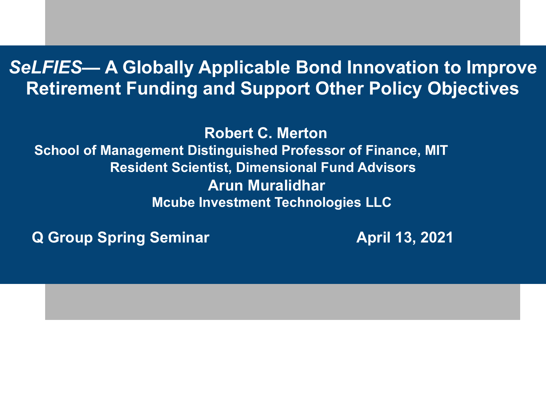### *SeLFIES***— A Globally Applicable Bond Innovation to Improve Retirement Funding and Support Other Policy Objectives**

 **Robert C. Merton School of Management Distinguished Professor of Finance, MIT Resident Scientist, Dimensional Fund Advisors Arun Muralidhar Mcube Investment Technologies LLC** 

**Q Group Spring Seminar April 13, 2021** 

Ξ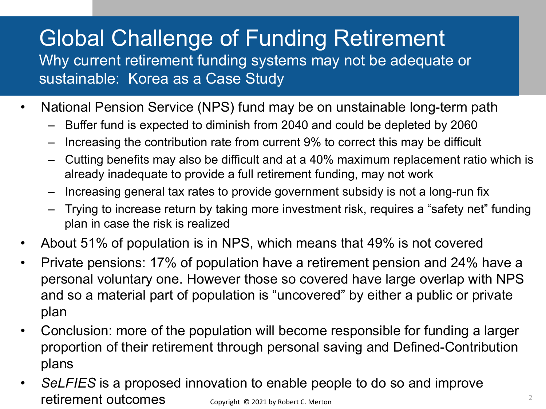# Global Challenge of Funding Retirement

Why current retirement funding systems may not be adequate or sustainable: Korea as a Case Study

- National Pension Service (NPS) fund may be on unstainable long-term path
	- Buffer fund is expected to diminish from 2040 and could be depleted by 2060
	- Increasing the contribution rate from current 9% to correct this may be difficult
	- Cutting benefits may also be difficult and at a 40% maximum replacement ratio which is already inadequate to provide a full retirement funding, may not work
	- Increasing general tax rates to provide government subsidy is not a long-run fix
	- Trying to increase return by taking more investment risk, requires a "safety net" funding plan in case the risk is realized
- About 51% of population is in NPS, which means that 49% is not covered
- Private pensions: 17% of population have a retirement pension and 24% have a personal voluntary one. However those so covered have large overlap with NPS and so a material part of population is "uncovered" by either a public or private plan
- Conclusion: more of the population will become responsible for funding a larger proportion of their retirement through personal saving and Defined-Contribution plans
- *SeLFIES* is a proposed innovation to enable people to do so and improve retirement outcomes Copyright © 2021 by Robert C. Merton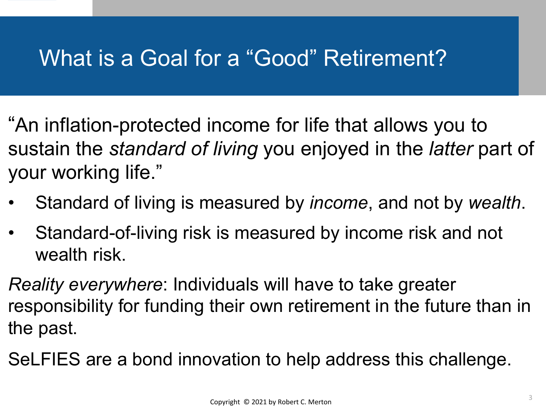### What is a Goal for a "Good" Retirement?

- "An inflation-protected income for life that allows you to sustain the *standard of living* you enjoyed in the *latter* part of your working life."
- Standard of living is measured by *income*, and not by *wealth*.
- Standard-of-living risk is measured by income risk and not wealth risk.
- *Reality everywhere*: Individuals will have to take greater responsibility for funding their own retirement in the future than in the past.
- SeLFIES are a bond innovation to help address this challenge.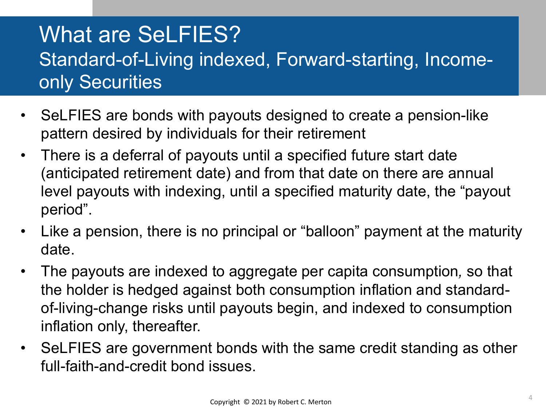### What are SeLFIES? Standard-of-Living indexed, Forward-starting, Incomeonly Securities

- SeLFIES are bonds with payouts designed to create a pension-like pattern desired by individuals for their retirement
- There is a deferral of payouts until a specified future start date (anticipated retirement date) and from that date on there are annual level payouts with indexing, until a specified maturity date, the "payout period".
- Like a pension, there is no principal or "balloon" payment at the maturity date.
- The payouts are indexed to aggregate per capita consumption*,* so that the holder is hedged against both consumption inflation and standardof-living-change risks until payouts begin, and indexed to consumption inflation only, thereafter.
- SeLFIES are government bonds with the same credit standing as other full-faith-and-credit bond issues.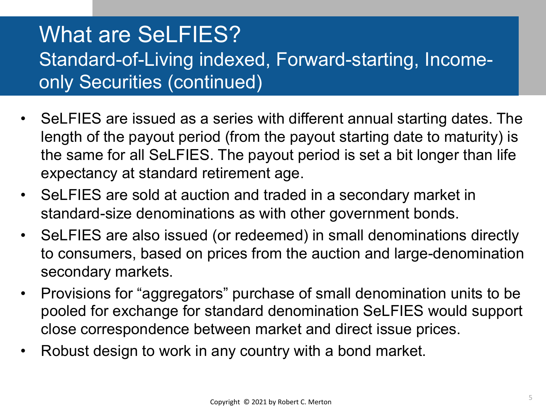### What are SeLFIES? Standard-of-Living indexed, Forward-starting, Incomeonly Securities (continued)

- SeLFIES are issued as a series with different annual starting dates. The length of the payout period (from the payout starting date to maturity) is the same for all SeLFIES. The payout period is set a bit longer than life expectancy at standard retirement age.
- SeLFIES are sold at auction and traded in a secondary market in standard-size denominations as with other government bonds.
- SeLFIES are also issued (or redeemed) in small denominations directly to consumers, based on prices from the auction and large-denomination secondary markets.
- Provisions for "aggregators" purchase of small denomination units to be pooled for exchange for standard denomination SeLFIES would support close correspondence between market and direct issue prices.
- Robust design to work in any country with a bond market.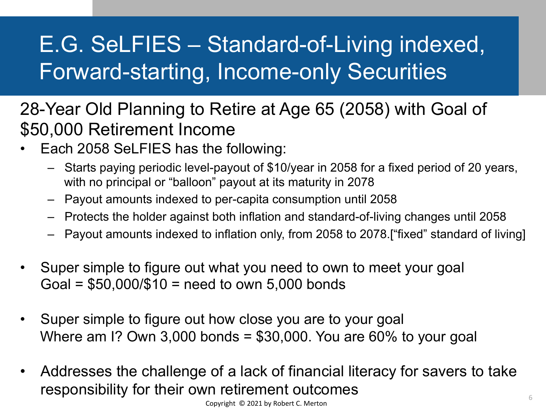# E.G. SeLFIES – Standard-of-Living indexed, Forward-starting, Income-only Securities

- 28-Year Old Planning to Retire at Age 65 (2058) with Goal of \$50,000 Retirement Income
- Each 2058 SeLFIES has the following:
	- Starts paying periodic level-payout of \$10/year in 2058 for a fixed period of 20 years, with no principal or "balloon" payout at its maturity in 2078
	- Payout amounts indexed to per-capita consumption until 2058
	- Protects the holder against both inflation and standard-of-living changes until 2058
	- Payout amounts indexed to inflation only, from 2058 to 2078.["fixed" standard of living]
- Super simple to figure out what you need to own to meet your goal  $Goal = $50,000/$10 = need to own 5,000 bonds$
- Super simple to figure out how close you are to your goal Where am I? Own 3,000 bonds =  $$30,000$ . You are 60% to your goal
- Addresses the challenge of a lack of financial literacy for savers to take responsibility for their own retirement outcomes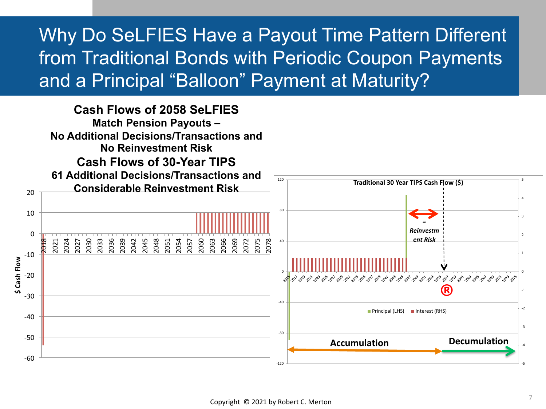### Why Do SeLFIES Have a Payout Time Pattern Different from Traditional Bonds with Periodic Coupon Payments and a Principal "Balloon" Payment at Maturity?

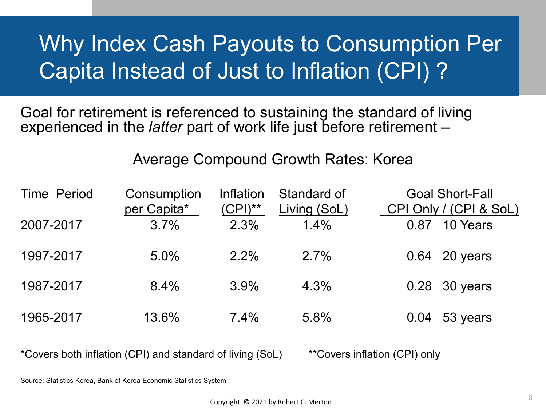# Why Index Cash Payouts to Consumption Per Capita Instead of Just to Inflation (CPI) ?

Goal for retirement is referenced to sustaining the standard of living experienced in the *latter* part of work life just before retirement –

#### Average Compound Growth Rates: Korea

| <b>Time Period</b> | Consumption<br>per Capita* | Inflation<br>$(CPI)^{**}$ | Standard of<br>Living (SoL) | <b>Goal Short-Fall</b><br>CPI Only / (CPI & SoL) |                 |
|--------------------|----------------------------|---------------------------|-----------------------------|--------------------------------------------------|-----------------|
| 2007-2017          | 3.7%                       | 2.3%                      | 1.4%                        | 0.87                                             | 10 Years        |
| 1997-2017          | 5.0%                       | $2.2\%$                   | 2.7%                        |                                                  | 0.64 20 years   |
| 1987-2017          | 8.4%                       | 3.9%                      | 4.3%                        |                                                  | 0.28 30 years   |
| 1965-2017          | 13.6%                      | 7.4%                      | 5.8%                        |                                                  | $0.04$ 53 years |

\*Covers both inflation (CPI) and standard of living (SoL) \*\*Covers inflation (CPI) only

Source: Statistics Korea, Bank of Korea Economic Statistics System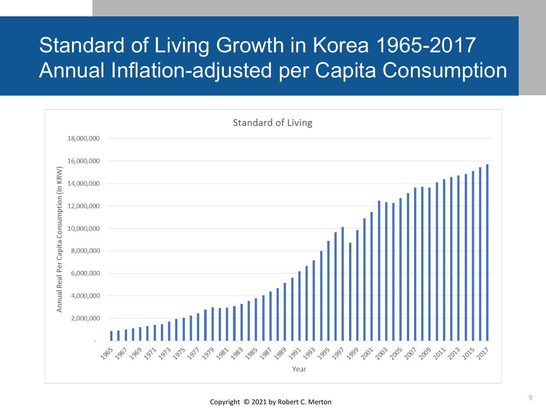### Standard of Living Growth in Korea 1965-2017 **Annual Inflation-adjusted per Capita Consumption**

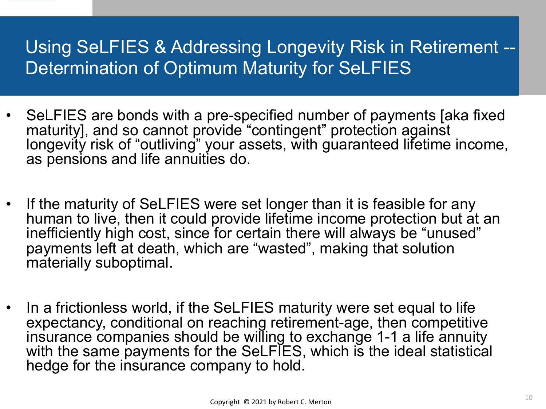### Using SeLFIES & Addressing Longevity Risk in Retirement -- Determination of Optimum Maturity for SeLFIES

- SeLFIES are bonds with a pre-specified number of payments [aka fixed maturity], and so cannot provide "contingent" protection against longevity risk of "outliving" your assets, with guaranteed lifetime income, as pensions and life annuities do.
- If the maturity of SeLFIES were set longer than it is feasible for any human to live, then it could provide lifetime income protection but at an inefficiently high cost, since for certain there will always be "unused" payments left at death, which are "wasted", making that solution materially suboptimal.
- In a frictionless world, if the SeLFIES maturity were set equal to life expectancy, conditional on reaching retirement-age, then competitive insurance companies should be willing to exchange 1-1 a life annuity with the same payments for the SeLFIES, which is the ideal statistical hedge for the insurance company to hold.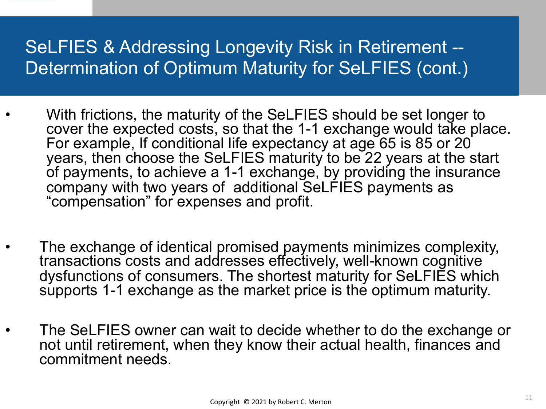### SeLFIES & Addressing Longevity Risk in Retirement -- Determination of Optimum Maturity for SeLFIES (cont.)

- With frictions, the maturity of the SeLFIES should be set longer to cover the expected costs, so that the 1-1 exchange would take place. For example, If conditional life expectancy at age 65 is 85 or 20 years, then choose the SeLFIES maturity to be 22 years at the start of payments, to achieve a 1-1 exchange, by providing the insurance company with two years of additional SeLFIES payments as "compensation" for expenses and profit.
- The exchange of identical promised payments minimizes complexity, transactions costs and addresses effectively, well-known cognitive dysfunctions of consumers. The shortest maturity for SeLFIES which supports 1-1 exchange as the market price is the optimum maturity.
- The SeLFIES owner can wait to decide whether to do the exchange or not until retirement, when they know their actual health, finances and commitment needs.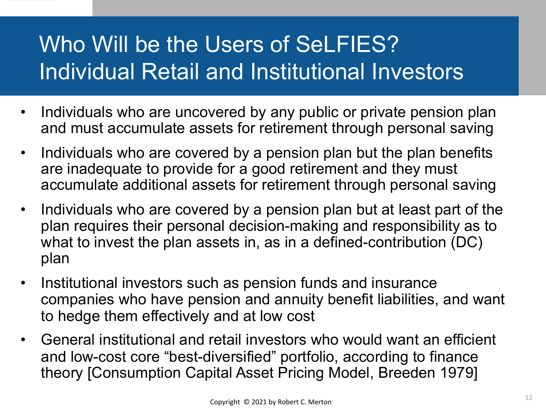# Who Will be the Users of SeLFIES? Individual Retail and Institutional Investors

- Individuals who are uncovered by any public or private pension plan and must accumulate assets for retirement through personal saving
- Individuals who are covered by a pension plan but the plan benefits are inadequate to provide for a good retirement and they must accumulate additional assets for retirement through personal saving
- Individuals who are covered by a pension plan but at least part of the plan requires their personal decision-making and responsibility as to what to invest the plan assets in, as in a defined-contribution (DC) plan
- Institutional investors such as pension funds and insurance companies who have pension and annuity benefit liabilities, and want to hedge them effectively and at low cost
- General institutional and retail investors who would want an efficient and low-cost core "best-diversified" portfolio, according to finance theory [Consumption Capital Asset Pricing Model, Breeden 1979]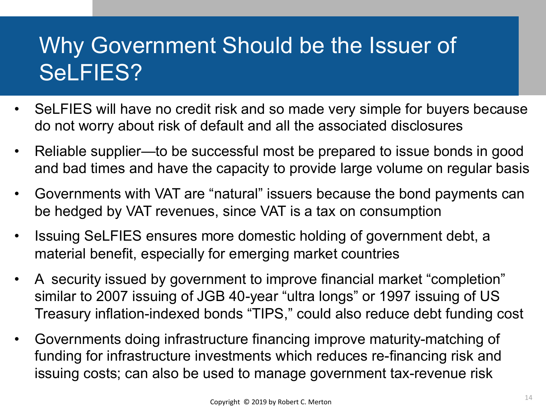# Why Government Should be the Issuer of SeLFIES?

- SeLFIES will have no credit risk and so made very simple for buyers because do not worry about risk of default and all the associated disclosures
- Reliable supplier—to be successful most be prepared to issue bonds in good and bad times and have the capacity to provide large volume on regular basis
- Governments with VAT are "natural" issuers because the bond payments can be hedged by VAT revenues, since VAT is a tax on consumption
- Issuing SeLFIES ensures more domestic holding of government debt, a material benefit, especially for emerging market countries
- A security issued by government to improve financial market "completion" similar to 2007 issuing of JGB 40-year "ultra longs" or 1997 issuing of US Treasury inflation-indexed bonds "TIPS," could also reduce debt funding cost
- Governments doing infrastructure financing improve maturity-matching of funding for infrastructure investments which reduces re-financing risk and issuing costs; can also be used to manage government tax-revenue risk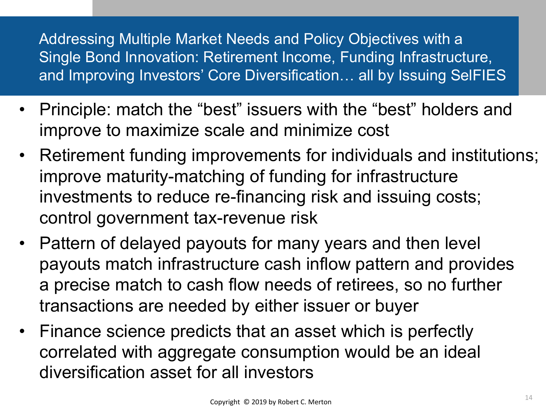Addressing Multiple Market Needs and Policy Objectives with a Single Bond Innovation: Retirement Income, Funding Infrastructure, and Improving Investors' Core Diversification… all by Issuing SelFIES

- Principle: match the "best" issuers with the "best" holders and improve to maximize scale and minimize cost
- Retirement funding improvements for individuals and institutions; improve maturity-matching of funding for infrastructure investments to reduce re-financing risk and issuing costs; control government tax-revenue risk
- Pattern of delayed payouts for many years and then level payouts match infrastructure cash inflow pattern and provides a precise match to cash flow needs of retirees, so no further transactions are needed by either issuer or buyer
- Finance science predicts that an asset which is perfectly correlated with aggregate consumption would be an ideal diversification asset for all investors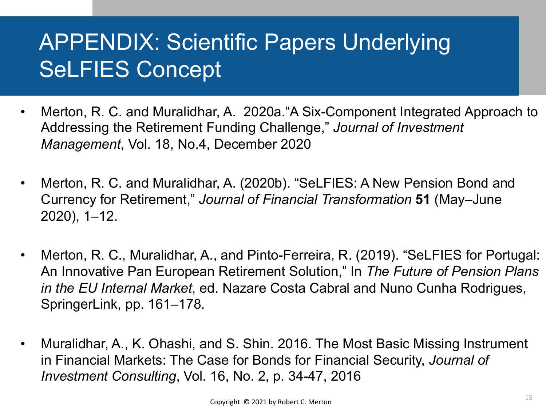# APPENDIX: Scientific Papers Underlying SeLFIES Concept

- Merton, R. C. and Muralidhar, A. 2020a."A Six-Component Integrated Approach to Addressing the Retirement Funding Challenge," *Journal of Investment Management*, Vol. 18, No.4, December 2020
- Merton, R. C. and Muralidhar, A. (2020b). "SeLFIES: A New Pension Bond and Currency for Retirement," *Journal of Financial Transformation* **51** (May–June 2020), 1–12.
- Merton, R. C., Muralidhar, A., and Pinto-Ferreira, R. (2019). "SeLFIES for Portugal: An Innovative Pan European Retirement Solution," In *The Future of Pension Plans in the EU Internal Market*, ed. Nazare Costa Cabral and Nuno Cunha Rodrigues, SpringerLink, pp. 161–178.
- Muralidhar, A., K. Ohashi, and S. Shin. 2016. The Most Basic Missing Instrument in Financial Markets: The Case for Bonds for Financial Security, *Journal of Investment Consulting*, Vol. 16, No. 2, p. 34-47, 2016